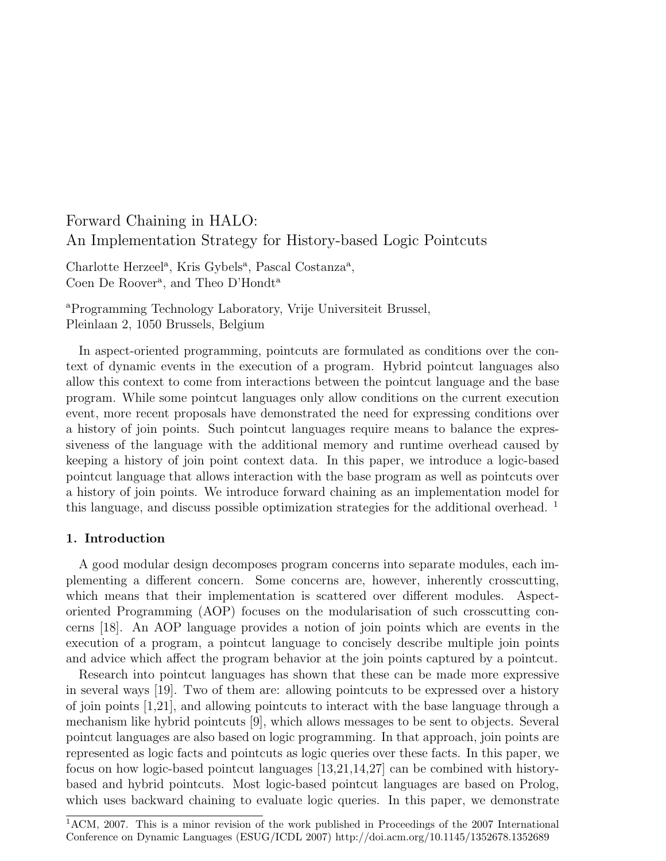# Forward Chaining in HALO: An Implementation Strategy for History-based Logic Pointcuts

Charlotte Herzeel<sup>a</sup>, Kris Gybels<sup>a</sup>, Pascal Costanza<sup>a</sup>, Coen De Roover<sup>a</sup>, and Theo D'Hondt<sup>a</sup>

<sup>a</sup>Programming Technology Laboratory, Vrije Universiteit Brussel, Pleinlaan 2, 1050 Brussels, Belgium

In aspect-oriented programming, pointcuts are formulated as conditions over the context of dynamic events in the execution of a program. Hybrid pointcut languages also allow this context to come from interactions between the pointcut language and the base program. While some pointcut languages only allow conditions on the current execution event, more recent proposals have demonstrated the need for expressing conditions over a history of join points. Such pointcut languages require means to balance the expressiveness of the language with the additional memory and runtime overhead caused by keeping a history of join point context data. In this paper, we introduce a logic-based pointcut language that allows interaction with the base program as well as pointcuts over a history of join points. We introduce forward chaining as an implementation model for this language, and discuss possible optimization strategies for the additional overhead.<sup>1</sup>

# 1. Introduction

A good modular design decomposes program concerns into separate modules, each implementing a different concern. Some concerns are, however, inherently crosscutting, which means that their implementation is scattered over different modules. Aspectoriented Programming (AOP) focuses on the modularisation of such crosscutting concerns [18]. An AOP language provides a notion of join points which are events in the execution of a program, a pointcut language to concisely describe multiple join points and advice which affect the program behavior at the join points captured by a pointcut.

Research into pointcut languages has shown that these can be made more expressive in several ways [19]. Two of them are: allowing pointcuts to be expressed over a history of join points [1,21], and allowing pointcuts to interact with the base language through a mechanism like hybrid pointcuts [9], which allows messages to be sent to objects. Several pointcut languages are also based on logic programming. In that approach, join points are represented as logic facts and pointcuts as logic queries over these facts. In this paper, we focus on how logic-based pointcut languages [13,21,14,27] can be combined with historybased and hybrid pointcuts. Most logic-based pointcut languages are based on Prolog, which uses backward chaining to evaluate logic queries. In this paper, we demonstrate

<sup>1</sup>ACM, 2007. This is a minor revision of the work published in Proceedings of the 2007 International Conference on Dynamic Languages (ESUG/ICDL 2007) http://doi.acm.org/10.1145/1352678.1352689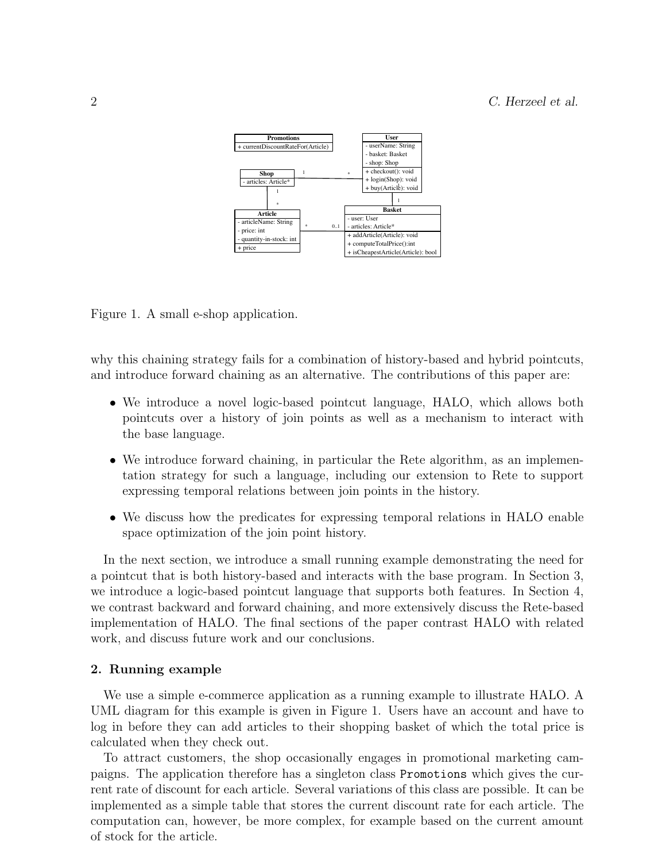

Figure 1. A small e-shop application.

why this chaining strategy fails for a combination of history-based and hybrid pointcuts, and introduce forward chaining as an alternative. The contributions of this paper are:

- We introduce a novel logic-based pointcut language, HALO, which allows both pointcuts over a history of join points as well as a mechanism to interact with the base language.
- We introduce forward chaining, in particular the Rete algorithm, as an implementation strategy for such a language, including our extension to Rete to support expressing temporal relations between join points in the history.
- We discuss how the predicates for expressing temporal relations in HALO enable space optimization of the join point history.

In the next section, we introduce a small running example demonstrating the need for a pointcut that is both history-based and interacts with the base program. In Section 3, we introduce a logic-based pointcut language that supports both features. In Section 4, we contrast backward and forward chaining, and more extensively discuss the Rete-based implementation of HALO. The final sections of the paper contrast HALO with related work, and discuss future work and our conclusions.

# 2. Running example

We use a simple e-commerce application as a running example to illustrate HALO. A UML diagram for this example is given in Figure 1. Users have an account and have to log in before they can add articles to their shopping basket of which the total price is calculated when they check out.

To attract customers, the shop occasionally engages in promotional marketing campaigns. The application therefore has a singleton class Promotions which gives the current rate of discount for each article. Several variations of this class are possible. It can be implemented as a simple table that stores the current discount rate for each article. The computation can, however, be more complex, for example based on the current amount of stock for the article.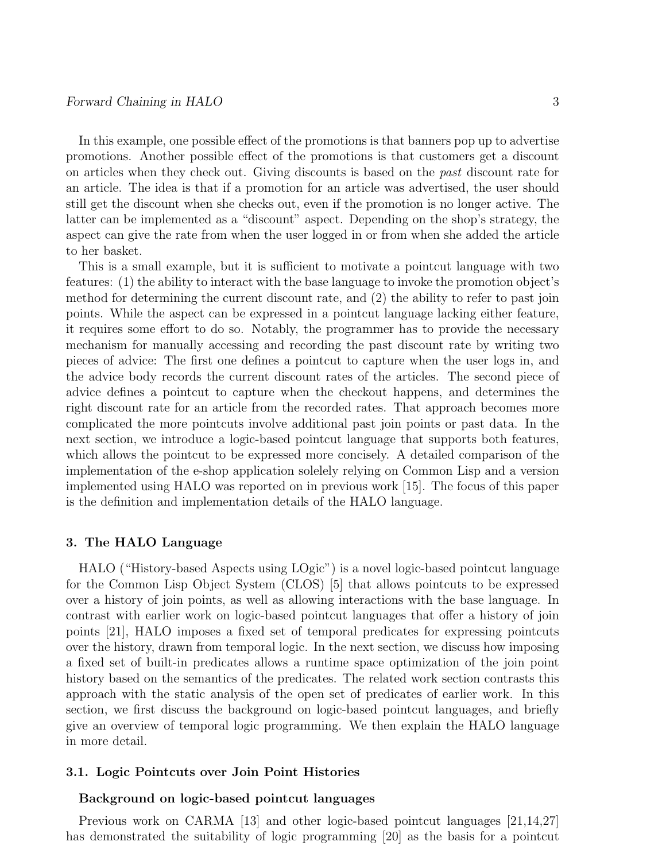In this example, one possible effect of the promotions is that banners pop up to advertise promotions. Another possible effect of the promotions is that customers get a discount on articles when they check out. Giving discounts is based on the past discount rate for an article. The idea is that if a promotion for an article was advertised, the user should still get the discount when she checks out, even if the promotion is no longer active. The latter can be implemented as a "discount" aspect. Depending on the shop's strategy, the aspect can give the rate from when the user logged in or from when she added the article to her basket.

This is a small example, but it is sufficient to motivate a pointcut language with two features: (1) the ability to interact with the base language to invoke the promotion object's method for determining the current discount rate, and (2) the ability to refer to past join points. While the aspect can be expressed in a pointcut language lacking either feature, it requires some effort to do so. Notably, the programmer has to provide the necessary mechanism for manually accessing and recording the past discount rate by writing two pieces of advice: The first one defines a pointcut to capture when the user logs in, and the advice body records the current discount rates of the articles. The second piece of advice defines a pointcut to capture when the checkout happens, and determines the right discount rate for an article from the recorded rates. That approach becomes more complicated the more pointcuts involve additional past join points or past data. In the next section, we introduce a logic-based pointcut language that supports both features, which allows the pointcut to be expressed more concisely. A detailed comparison of the implementation of the e-shop application solelely relying on Common Lisp and a version implemented using HALO was reported on in previous work [15]. The focus of this paper is the definition and implementation details of the HALO language.

### 3. The HALO Language

HALO ("History-based Aspects using LOgic") is a novel logic-based pointcut language for the Common Lisp Object System (CLOS) [5] that allows pointcuts to be expressed over a history of join points, as well as allowing interactions with the base language. In contrast with earlier work on logic-based pointcut languages that offer a history of join points [21], HALO imposes a fixed set of temporal predicates for expressing pointcuts over the history, drawn from temporal logic. In the next section, we discuss how imposing a fixed set of built-in predicates allows a runtime space optimization of the join point history based on the semantics of the predicates. The related work section contrasts this approach with the static analysis of the open set of predicates of earlier work. In this section, we first discuss the background on logic-based pointcut languages, and briefly give an overview of temporal logic programming. We then explain the HALO language in more detail.

### 3.1. Logic Pointcuts over Join Point Histories

### Background on logic-based pointcut languages

Previous work on CARMA [13] and other logic-based pointcut languages [21,14,27] has demonstrated the suitability of logic programming [20] as the basis for a pointcut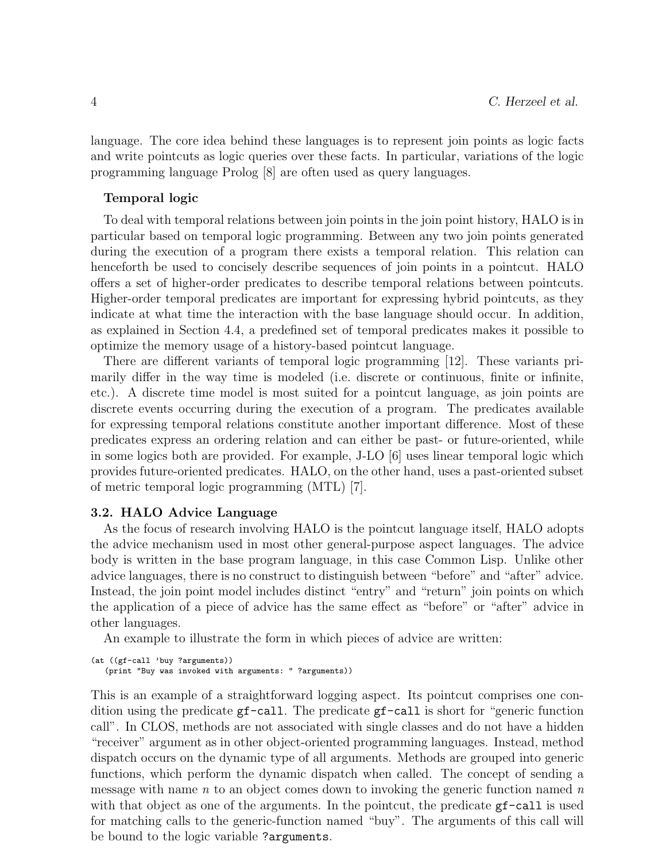language. The core idea behind these languages is to represent join points as logic facts and write pointcuts as logic queries over these facts. In particular, variations of the logic programming language Prolog [8] are often used as query languages.

### Temporal logic

To deal with temporal relations between join points in the join point history, HALO is in particular based on temporal logic programming. Between any two join points generated during the execution of a program there exists a temporal relation. This relation can henceforth be used to concisely describe sequences of join points in a pointcut. HALO offers a set of higher-order predicates to describe temporal relations between pointcuts. Higher-order temporal predicates are important for expressing hybrid pointcuts, as they indicate at what time the interaction with the base language should occur. In addition, as explained in Section 4.4, a predefined set of temporal predicates makes it possible to optimize the memory usage of a history-based pointcut language.

There are different variants of temporal logic programming [12]. These variants primarily differ in the way time is modeled (i.e. discrete or continuous, finite or infinite, etc.). A discrete time model is most suited for a pointcut language, as join points are discrete events occurring during the execution of a program. The predicates available for expressing temporal relations constitute another important difference. Most of these predicates express an ordering relation and can either be past- or future-oriented, while in some logics both are provided. For example, J-LO [6] uses linear temporal logic which provides future-oriented predicates. HALO, on the other hand, uses a past-oriented subset of metric temporal logic programming (MTL) [7].

### 3.2. HALO Advice Language

As the focus of research involving HALO is the pointcut language itself, HALO adopts the advice mechanism used in most other general-purpose aspect languages. The advice body is written in the base program language, in this case Common Lisp. Unlike other advice languages, there is no construct to distinguish between "before" and "after" advice. Instead, the join point model includes distinct "entry" and "return" join points on which the application of a piece of advice has the same effect as "before" or "after" advice in other languages.

An example to illustrate the form in which pieces of advice are written:

```
(at ((gf-call 'buy ?arguments))
   (print "Buy was invoked with arguments: " ?arguments))
```
This is an example of a straightforward logging aspect. Its pointcut comprises one condition using the predicate  $gf$ -call. The predicate  $gf$ -call is short for "generic function" call". In CLOS, methods are not associated with single classes and do not have a hidden "receiver" argument as in other object-oriented programming languages. Instead, method dispatch occurs on the dynamic type of all arguments. Methods are grouped into generic functions, which perform the dynamic dispatch when called. The concept of sending a message with name  $n$  to an object comes down to invoking the generic function named  $n$ with that object as one of the arguments. In the pointcut, the predicate gf-call is used for matching calls to the generic-function named "buy". The arguments of this call will be bound to the logic variable ?arguments.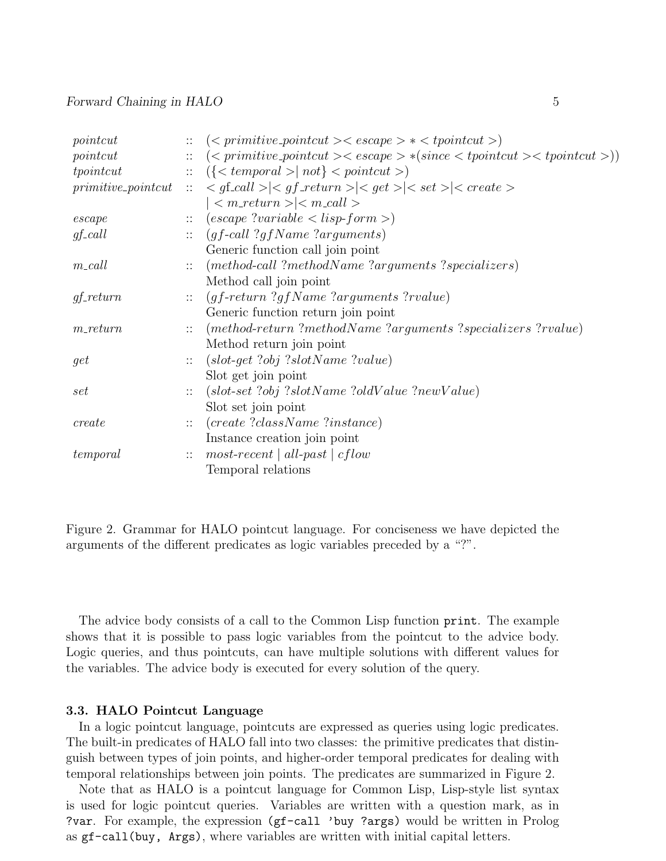# Forward Chaining in HALO 5

| pointcut            | $\mathbb{Z}^{\times}$  | $(primitive-point cut > escape > * tpointcut >)$                                      |  |  |  |
|---------------------|------------------------|---------------------------------------------------------------------------------------|--|--|--|
| pointcut            | $\mathbb{C}^{\times}$  | $(primitive-point cut > escape > *(since < tpointcut > tpointcut >))$                 |  |  |  |
| toointcut           |                        | $\therefore$ ({< temporal >  not} < pointcut >)                                       |  |  |  |
|                     |                        | $primitive\_pointcut$ :: < gf_call > < gf_return > < get > < set > < set > < create > |  |  |  |
|                     |                        | $  eturn > < m_call >$                                                                |  |  |  |
| escape              | $\mathbb{N}^+$         | $(escape ?variable < lisp-form >)$                                                    |  |  |  |
| $gf_{\text{-}call}$ | $\mathbb{R}^+$         | $(gf\text{-}call ?gfName ?arguments)$                                                 |  |  |  |
|                     |                        | Generic function call join point                                                      |  |  |  |
| $m$ <sub>call</sub> | $\mathbb{R}^2$         | $(method-call ?methodName ? arguments ?specializers)$                                 |  |  |  |
|                     |                        | Method call join point                                                                |  |  |  |
| $gf_{-}return$      | $\mathbb{R}^{\bullet}$ | $(gf-return ?gfName ? arguments ?rvalue)$                                             |  |  |  |
|                     |                        | Generic function return join point                                                    |  |  |  |
| $m\_return$         | $\mathbb{R}^{\bullet}$ | $(method-return ?methodName ? arguments ?specializers ?rvalue)$                       |  |  |  |
|                     |                        | Method return join point                                                              |  |  |  |
| get                 | $\mathbb{R}^{\bullet}$ | (slot.get ?obj ?slotName ?value)                                                      |  |  |  |
|                     |                        | Slot get join point                                                                   |  |  |  |
| set                 | $\mathbb{R}^{\bullet}$ | $(slot-set ?obj ?slotName ?oldValue ?newValue)$                                       |  |  |  |
|                     |                        | Slot set join point                                                                   |  |  |  |
| create              | $\mathbb{R}^{\bullet}$ | (create ? className ? instance)                                                       |  |  |  |
|                     |                        | Instance creation join point                                                          |  |  |  |
| temporal            | $\ddot{\phantom{1}}$ : | $most-recent   all-past   cflow$                                                      |  |  |  |
|                     |                        | Temporal relations                                                                    |  |  |  |

Figure 2. Grammar for HALO pointcut language. For conciseness we have depicted the arguments of the different predicates as logic variables preceded by a "?".

The advice body consists of a call to the Common Lisp function print. The example shows that it is possible to pass logic variables from the pointcut to the advice body. Logic queries, and thus pointcuts, can have multiple solutions with different values for the variables. The advice body is executed for every solution of the query.

### 3.3. HALO Pointcut Language

In a logic pointcut language, pointcuts are expressed as queries using logic predicates. The built-in predicates of HALO fall into two classes: the primitive predicates that distinguish between types of join points, and higher-order temporal predicates for dealing with temporal relationships between join points. The predicates are summarized in Figure 2.

Note that as HALO is a pointcut language for Common Lisp, Lisp-style list syntax is used for logic pointcut queries. Variables are written with a question mark, as in ?var. For example, the expression (gf-call 'buy ?args) would be written in Prolog as gf-call(buy, Args), where variables are written with initial capital letters.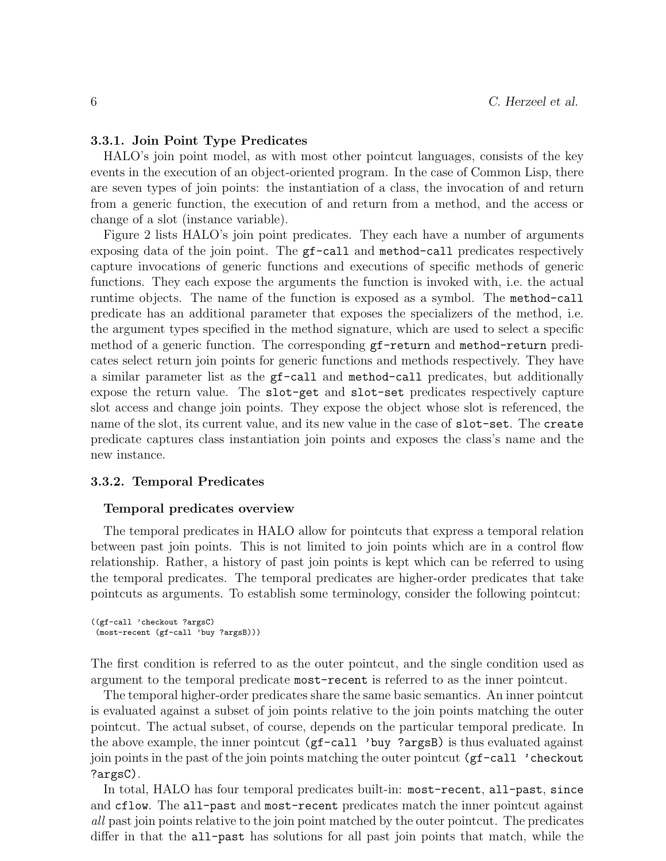### 3.3.1. Join Point Type Predicates

HALO's join point model, as with most other pointcut languages, consists of the key events in the execution of an object-oriented program. In the case of Common Lisp, there are seven types of join points: the instantiation of a class, the invocation of and return from a generic function, the execution of and return from a method, and the access or change of a slot (instance variable).

Figure 2 lists HALO's join point predicates. They each have a number of arguments exposing data of the join point. The gf-call and method-call predicates respectively capture invocations of generic functions and executions of specific methods of generic functions. They each expose the arguments the function is invoked with, i.e. the actual runtime objects. The name of the function is exposed as a symbol. The method-call predicate has an additional parameter that exposes the specializers of the method, i.e. the argument types specified in the method signature, which are used to select a specific method of a generic function. The corresponding gf-return and method-return predicates select return join points for generic functions and methods respectively. They have a similar parameter list as the gf-call and method-call predicates, but additionally expose the return value. The slot-get and slot-set predicates respectively capture slot access and change join points. They expose the object whose slot is referenced, the name of the slot, its current value, and its new value in the case of slot-set. The create predicate captures class instantiation join points and exposes the class's name and the new instance.

### 3.3.2. Temporal Predicates

### Temporal predicates overview

The temporal predicates in HALO allow for pointcuts that express a temporal relation between past join points. This is not limited to join points which are in a control flow relationship. Rather, a history of past join points is kept which can be referred to using the temporal predicates. The temporal predicates are higher-order predicates that take pointcuts as arguments. To establish some terminology, consider the following pointcut:

```
((gf-call 'checkout ?argsC)
 (most-recent (gf-call 'buy ?argsB)))
```
The first condition is referred to as the outer pointcut, and the single condition used as argument to the temporal predicate most-recent is referred to as the inner pointcut.

The temporal higher-order predicates share the same basic semantics. An inner pointcut is evaluated against a subset of join points relative to the join points matching the outer pointcut. The actual subset, of course, depends on the particular temporal predicate. In the above example, the inner pointcut  $(gf-\text{call 'buy 'argsB})$  is thus evaluated against join points in the past of the join points matching the outer pointcut (gf-call 'checkout ?argsC).

In total, HALO has four temporal predicates built-in: most-recent, all-past, since and cflow. The all-past and most-recent predicates match the inner pointcut against all past join points relative to the join point matched by the outer pointcut. The predicates differ in that the all-past has solutions for all past join points that match, while the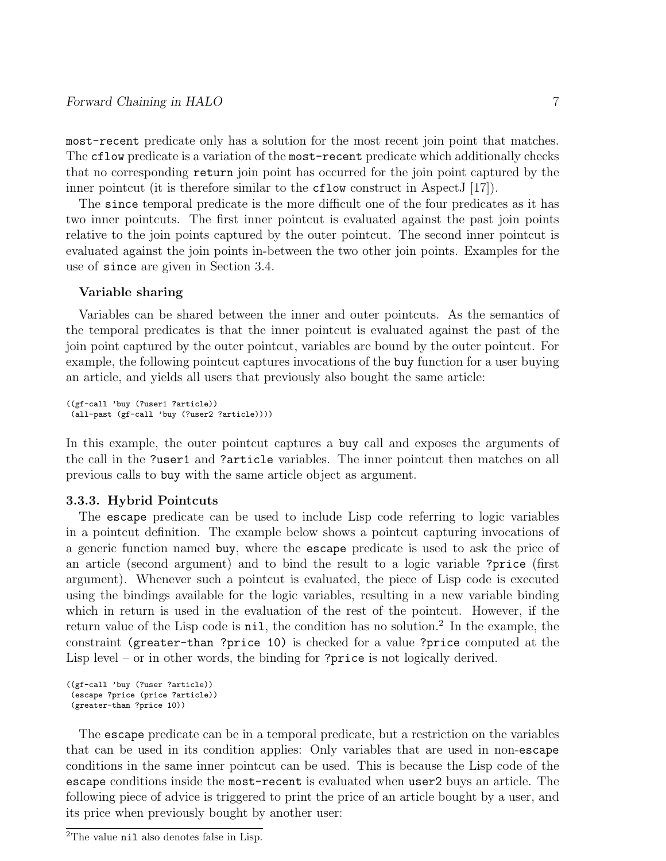most-recent predicate only has a solution for the most recent join point that matches. The cflow predicate is a variation of the most-recent predicate which additionally checks that no corresponding return join point has occurred for the join point captured by the inner pointcut (it is therefore similar to the cflow construct in AspectJ [17]).

The since temporal predicate is the more difficult one of the four predicates as it has two inner pointcuts. The first inner pointcut is evaluated against the past join points relative to the join points captured by the outer pointcut. The second inner pointcut is evaluated against the join points in-between the two other join points. Examples for the use of since are given in Section 3.4.

# Variable sharing

Variables can be shared between the inner and outer pointcuts. As the semantics of the temporal predicates is that the inner pointcut is evaluated against the past of the join point captured by the outer pointcut, variables are bound by the outer pointcut. For example, the following pointcut captures invocations of the buy function for a user buying an article, and yields all users that previously also bought the same article:

```
((gf-call 'buy (?user1 ?article))
(all-past (gf-call 'buy (?user2 ?article))))
```
In this example, the outer pointcut captures a buy call and exposes the arguments of the call in the ?user1 and ?article variables. The inner pointcut then matches on all previous calls to buy with the same article object as argument.

### 3.3.3. Hybrid Pointcuts

The escape predicate can be used to include Lisp code referring to logic variables in a pointcut definition. The example below shows a pointcut capturing invocations of a generic function named buy, where the escape predicate is used to ask the price of an article (second argument) and to bind the result to a logic variable ?price (first argument). Whenever such a pointcut is evaluated, the piece of Lisp code is executed using the bindings available for the logic variables, resulting in a new variable binding which in return is used in the evaluation of the rest of the pointcut. However, if the return value of the Lisp code is nil, the condition has no solution.<sup>2</sup> In the example, the constraint (greater-than ?price 10) is checked for a value ?price computed at the Lisp level – or in other words, the binding for ? $\text{price}$  is not logically derived.

```
((gf-call 'buy (?user ?article))
 (escape ?price (price ?article))
 (greater-than ?price 10))
```
The escape predicate can be in a temporal predicate, but a restriction on the variables that can be used in its condition applies: Only variables that are used in non-escape conditions in the same inner pointcut can be used. This is because the Lisp code of the escape conditions inside the most-recent is evaluated when user2 buys an article. The following piece of advice is triggered to print the price of an article bought by a user, and its price when previously bought by another user:

<sup>2</sup>The value nil also denotes false in Lisp.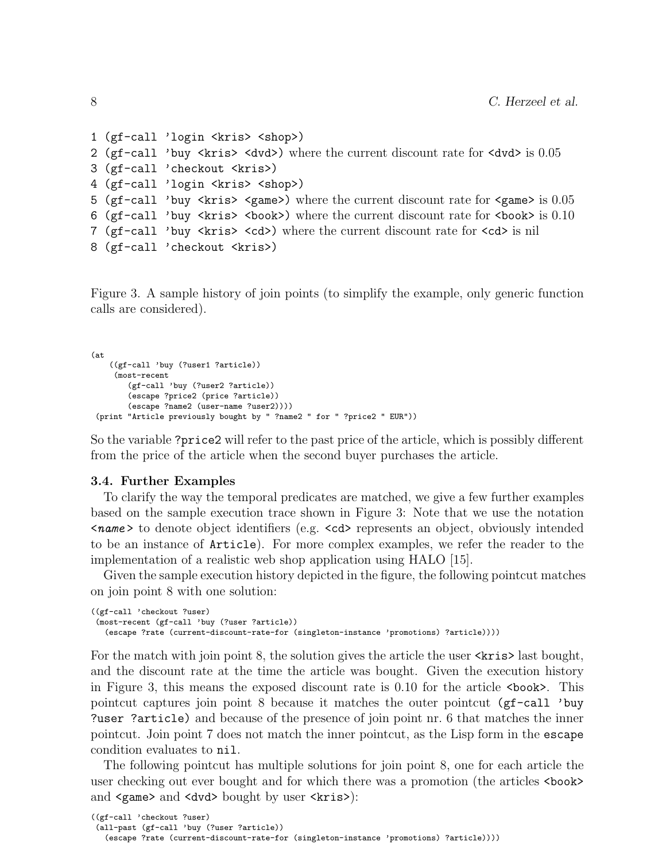```
1 (gf-call 'login <kris> <shop>)
2 (gf-call 'buy <kris> <dvd>) where the current discount rate for <dvd> is 0.05
3 (gf-call 'checkout <kris>)
4 (gf-call 'login <kris> <shop>)
5 (gf-call 'buy <kris> <game>) where the current discount rate for <game> is 0.05
6 (gf-call 'buy \langle kris \rangle \langle book \rangle) where the current discount rate for \langle book \rangle is 0.10
7 (gf-call 'buy <kris> <cd>) where the current discount rate for <cd> is nil
8 (gf-call 'checkout <kris>)
```
Figure 3. A sample history of join points (to simplify the example, only generic function calls are considered).

```
(at
    ((gf-call 'buy (?user1 ?article))
     (most-recent
        (gf-call 'buy (?user2 ?article))
        (escape ?price2 (price ?article))
        (escape ?name2 (user-name ?user2))))
 (print "Article previously bought by " ?name2 " for " ?price2 " EUR"))
```
So the variable ?price2 will refer to the past price of the article, which is possibly different from the price of the article when the second buyer purchases the article.

### 3.4. Further Examples

To clarify the way the temporal predicates are matched, we give a few further examples based on the sample execution trace shown in Figure 3: Note that we use the notation  $\langle$ name > to denote object identifiers (e.g.  $\langle$ cd > represents an object, obviously intended to be an instance of Article). For more complex examples, we refer the reader to the implementation of a realistic web shop application using HALO [15].

Given the sample execution history depicted in the figure, the following pointcut matches on join point 8 with one solution:

```
((gf-call 'checkout ?user)
 (most-recent (gf-call 'buy (?user ?article))
   (escape ?rate (current-discount-rate-for (singleton-instance 'promotions) ?article))))
```
For the match with join point 8, the solution gives the article the user  $\langle k\text{ris}\rangle$  last bought, and the discount rate at the time the article was bought. Given the execution history in Figure 3, this means the exposed discount rate is  $0.10$  for the article  $\text{}>$ . This pointcut captures join point 8 because it matches the outer pointcut (gf-call 'buy ?user ?article) and because of the presence of join point nr. 6 that matches the inner pointcut. Join point 7 does not match the inner pointcut, as the Lisp form in the escape condition evaluates to nil.

The following pointcut has multiple solutions for join point 8, one for each article the user checking out ever bought and for which there was a promotion (the articles <book> and <game> and <dvd> bought by user <kris>):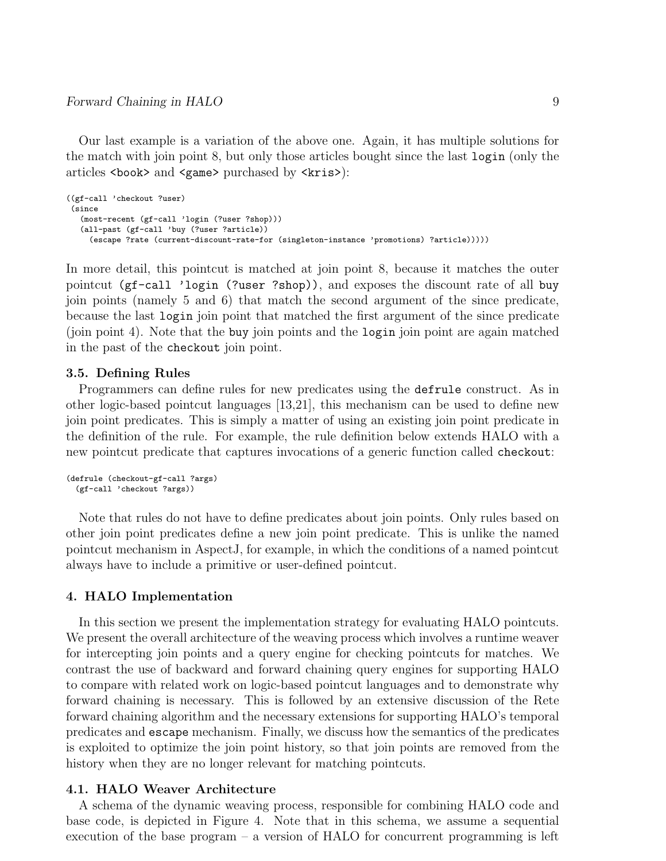Our last example is a variation of the above one. Again, it has multiple solutions for the match with join point 8, but only those articles bought since the last login (only the articles <book> and <game> purchased by <kris>):

```
((gf-call 'checkout ?user)
 (since
   (most-recent (gf-call 'login (?user ?shop)))
   (all-past (gf-call 'buy (?user ?article))
     (escape ?rate (current-discount-rate-for (singleton-instance 'promotions) ?article)))))
```
In more detail, this pointcut is matched at join point 8, because it matches the outer pointcut (gf-call 'login (?user ?shop)), and exposes the discount rate of all buy join points (namely 5 and 6) that match the second argument of the since predicate, because the last login join point that matched the first argument of the since predicate (join point 4). Note that the buy join points and the login join point are again matched in the past of the checkout join point.

# 3.5. Defining Rules

Programmers can define rules for new predicates using the defrule construct. As in other logic-based pointcut languages [13,21], this mechanism can be used to define new join point predicates. This is simply a matter of using an existing join point predicate in the definition of the rule. For example, the rule definition below extends HALO with a new pointcut predicate that captures invocations of a generic function called checkout:

```
(defrule (checkout-gf-call ?args)
  (gf-call 'checkout ?args))
```
Note that rules do not have to define predicates about join points. Only rules based on other join point predicates define a new join point predicate. This is unlike the named pointcut mechanism in AspectJ, for example, in which the conditions of a named pointcut always have to include a primitive or user-defined pointcut.

### 4. HALO Implementation

In this section we present the implementation strategy for evaluating HALO pointcuts. We present the overall architecture of the weaving process which involves a runtime weaver for intercepting join points and a query engine for checking pointcuts for matches. We contrast the use of backward and forward chaining query engines for supporting HALO to compare with related work on logic-based pointcut languages and to demonstrate why forward chaining is necessary. This is followed by an extensive discussion of the Rete forward chaining algorithm and the necessary extensions for supporting HALO's temporal predicates and escape mechanism. Finally, we discuss how the semantics of the predicates is exploited to optimize the join point history, so that join points are removed from the history when they are no longer relevant for matching pointcuts.

# 4.1. HALO Weaver Architecture

A schema of the dynamic weaving process, responsible for combining HALO code and base code, is depicted in Figure 4. Note that in this schema, we assume a sequential execution of the base program – a version of HALO for concurrent programming is left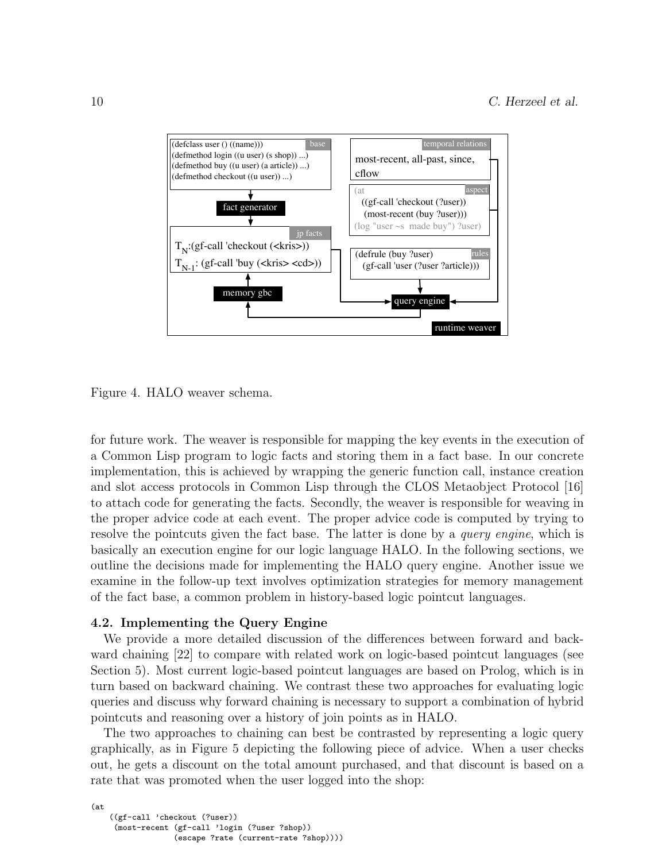

Figure 4. HALO weaver schema.

for future work. The weaver is responsible for mapping the key events in the execution of a Common Lisp program to logic facts and storing them in a fact base. In our concrete implementation, this is achieved by wrapping the generic function call, instance creation and slot access protocols in Common Lisp through the CLOS Metaobject Protocol [16] to attach code for generating the facts. Secondly, the weaver is responsible for weaving in the proper advice code at each event. The proper advice code is computed by trying to resolve the pointcuts given the fact base. The latter is done by a *query engine*, which is basically an execution engine for our logic language HALO. In the following sections, we outline the decisions made for implementing the HALO query engine. Another issue we examine in the follow-up text involves optimization strategies for memory management of the fact base, a common problem in history-based logic pointcut languages.

# 4.2. Implementing the Query Engine

We provide a more detailed discussion of the differences between forward and backward chaining [22] to compare with related work on logic-based pointcut languages (see Section 5). Most current logic-based pointcut languages are based on Prolog, which is in turn based on backward chaining. We contrast these two approaches for evaluating logic queries and discuss why forward chaining is necessary to support a combination of hybrid pointcuts and reasoning over a history of join points as in HALO.

The two approaches to chaining can best be contrasted by representing a logic query graphically, as in Figure 5 depicting the following piece of advice. When a user checks out, he gets a discount on the total amount purchased, and that discount is based on a rate that was promoted when the user logged into the shop: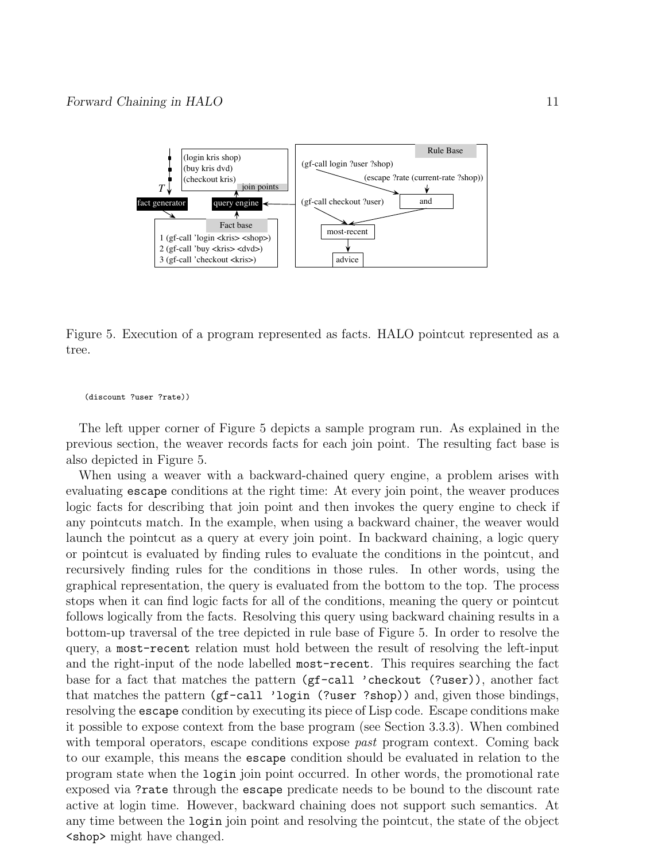

Figure 5. Execution of a program represented as facts. HALO pointcut represented as a tree.

#### (discount ?user ?rate))

The left upper corner of Figure 5 depicts a sample program run. As explained in the previous section, the weaver records facts for each join point. The resulting fact base is also depicted in Figure 5.

When using a weaver with a backward-chained query engine, a problem arises with evaluating escape conditions at the right time: At every join point, the weaver produces logic facts for describing that join point and then invokes the query engine to check if any pointcuts match. In the example, when using a backward chainer, the weaver would launch the pointcut as a query at every join point. In backward chaining, a logic query or pointcut is evaluated by finding rules to evaluate the conditions in the pointcut, and recursively finding rules for the conditions in those rules. In other words, using the graphical representation, the query is evaluated from the bottom to the top. The process stops when it can find logic facts for all of the conditions, meaning the query or pointcut follows logically from the facts. Resolving this query using backward chaining results in a bottom-up traversal of the tree depicted in rule base of Figure 5. In order to resolve the query, a most-recent relation must hold between the result of resolving the left-input and the right-input of the node labelled most-recent. This requires searching the fact base for a fact that matches the pattern (gf-call 'checkout (?user)), another fact that matches the pattern (gf-call 'login (?user ?shop)) and, given those bindings, resolving the escape condition by executing its piece of Lisp code. Escape conditions make it possible to expose context from the base program (see Section 3.3.3). When combined with temporal operators, escape conditions expose *past* program context. Coming back to our example, this means the escape condition should be evaluated in relation to the program state when the login join point occurred. In other words, the promotional rate exposed via ?rate through the escape predicate needs to be bound to the discount rate active at login time. However, backward chaining does not support such semantics. At any time between the login join point and resolving the pointcut, the state of the object <shop> might have changed.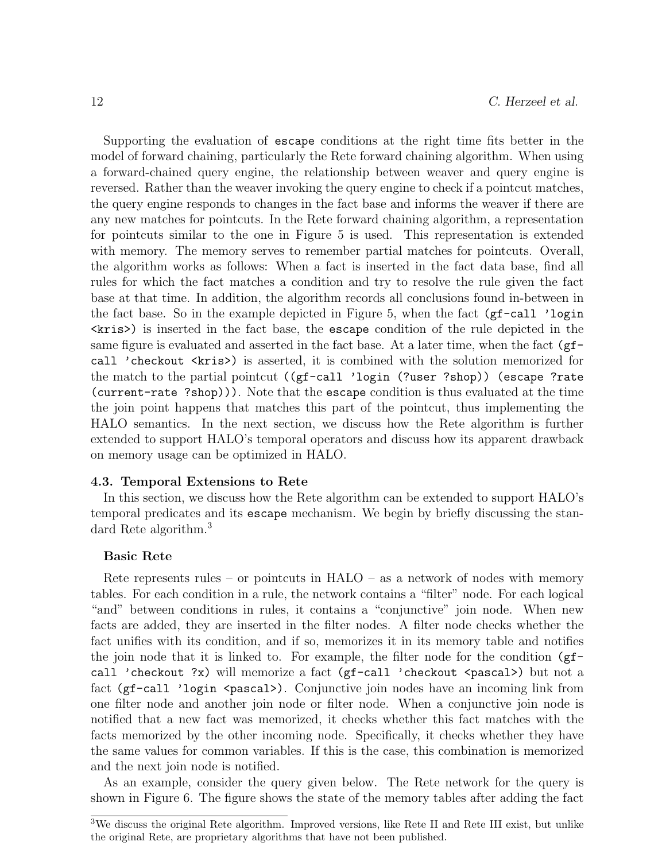Supporting the evaluation of escape conditions at the right time fits better in the model of forward chaining, particularly the Rete forward chaining algorithm. When using a forward-chained query engine, the relationship between weaver and query engine is reversed. Rather than the weaver invoking the query engine to check if a pointcut matches, the query engine responds to changes in the fact base and informs the weaver if there are any new matches for pointcuts. In the Rete forward chaining algorithm, a representation for pointcuts similar to the one in Figure 5 is used. This representation is extended with memory. The memory serves to remember partial matches for pointcuts. Overall, the algorithm works as follows: When a fact is inserted in the fact data base, find all rules for which the fact matches a condition and try to resolve the rule given the fact base at that time. In addition, the algorithm records all conclusions found in-between in the fact base. So in the example depicted in Figure 5, when the fact (gf-call 'login  $\langle$ kris $\rangle$ ) is inserted in the fact base, the escape condition of the rule depicted in the same figure is evaluated and asserted in the fact base. At a later time, when the fact (gfcall 'checkout <kris>) is asserted, it is combined with the solution memorized for the match to the partial pointcut ((gf-call 'login (?user ?shop)) (escape ?rate (current-rate ?shop))). Note that the escape condition is thus evaluated at the time the join point happens that matches this part of the pointcut, thus implementing the HALO semantics. In the next section, we discuss how the Rete algorithm is further extended to support HALO's temporal operators and discuss how its apparent drawback on memory usage can be optimized in HALO.

### 4.3. Temporal Extensions to Rete

In this section, we discuss how the Rete algorithm can be extended to support HALO's temporal predicates and its escape mechanism. We begin by briefly discussing the standard Rete algorithm.<sup>3</sup>

### Basic Rete

Rete represents rules – or pointcuts in  $HALO$  – as a network of nodes with memory tables. For each condition in a rule, the network contains a "filter" node. For each logical "and" between conditions in rules, it contains a "conjunctive" join node. When new facts are added, they are inserted in the filter nodes. A filter node checks whether the fact unifies with its condition, and if so, memorizes it in its memory table and notifies the join node that it is linked to. For example, the filter node for the condition (gfcall 'checkout ?x) will memorize a fact (gf-call 'checkout <pascal>) but not a fact (gf-call 'login <pascal>). Conjunctive join nodes have an incoming link from one filter node and another join node or filter node. When a conjunctive join node is notified that a new fact was memorized, it checks whether this fact matches with the facts memorized by the other incoming node. Specifically, it checks whether they have the same values for common variables. If this is the case, this combination is memorized and the next join node is notified.

As an example, consider the query given below. The Rete network for the query is shown in Figure 6. The figure shows the state of the memory tables after adding the fact

<sup>3</sup>We discuss the original Rete algorithm. Improved versions, like Rete II and Rete III exist, but unlike the original Rete, are proprietary algorithms that have not been published.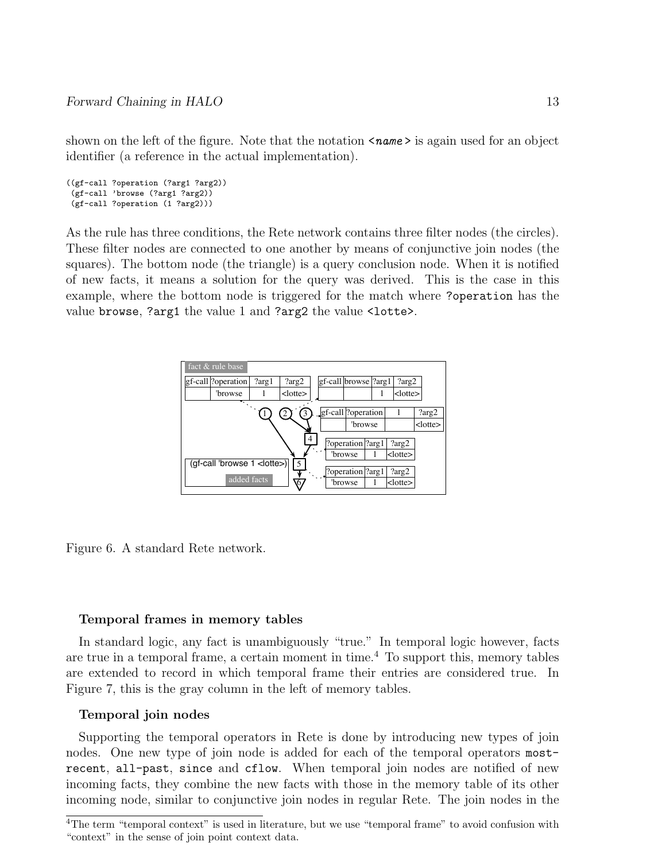shown on the left of the figure. Note that the notation  $\langle \textit{name} \rangle$  is again used for an object identifier (a reference in the actual implementation).

```
((gf-call ?operation (?arg1 ?arg2))
 (gf-call 'browse (?arg1 ?arg2))
 (gf-call ?operation (1 ?arg2)))
```
As the rule has three conditions, the Rete network contains three filter nodes (the circles). These filter nodes are connected to one another by means of conjunctive join nodes (the squares). The bottom node (the triangle) is a query conclusion node. When it is notified of new facts, it means a solution for the query was derived. This is the case in this example, where the bottom node is triggered for the match where ?operation has the value browse, ?arg1 the value 1 and ?arg2 the value <lotte>.



Figure 6. A standard Rete network.

# Temporal frames in memory tables

In standard logic, any fact is unambiguously "true." In temporal logic however, facts are true in a temporal frame, a certain moment in time.<sup>4</sup> To support this, memory tables are extended to record in which temporal frame their entries are considered true. In Figure 7, this is the gray column in the left of memory tables.

# Temporal join nodes

Supporting the temporal operators in Rete is done by introducing new types of join nodes. One new type of join node is added for each of the temporal operators mostrecent, all-past, since and cflow. When temporal join nodes are notified of new incoming facts, they combine the new facts with those in the memory table of its other incoming node, similar to conjunctive join nodes in regular Rete. The join nodes in the

<sup>4</sup>The term "temporal context" is used in literature, but we use "temporal frame" to avoid confusion with "context" in the sense of join point context data.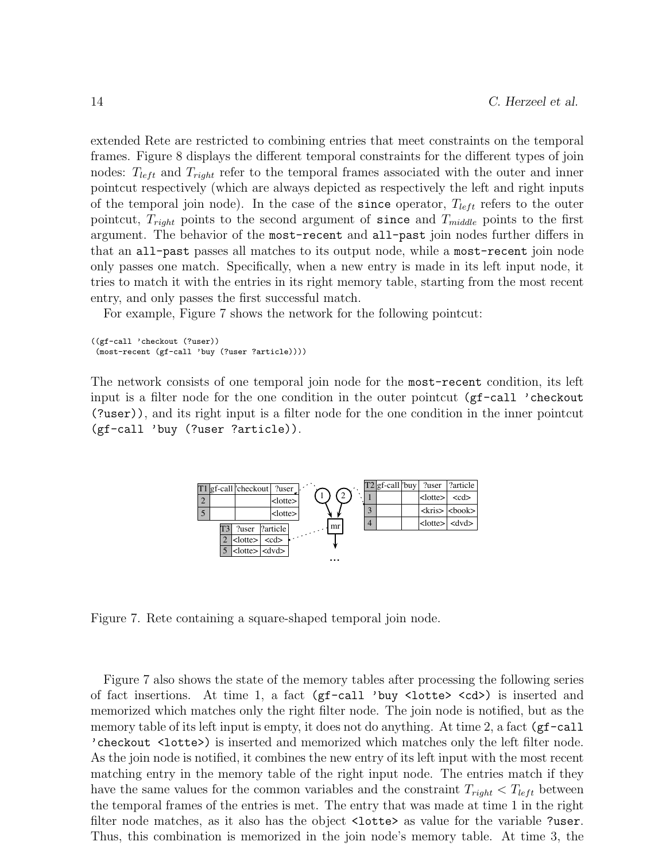extended Rete are restricted to combining entries that meet constraints on the temporal frames. Figure 8 displays the different temporal constraints for the different types of join nodes:  $T_{left}$  and  $T_{right}$  refer to the temporal frames associated with the outer and inner pointcut respectively (which are always depicted as respectively the left and right inputs of the temporal join node). In the case of the since operator,  $T_{left}$  refers to the outer pointcut,  $T_{right}$  points to the second argument of since and  $T_{middle}$  points to the first argument. The behavior of the most-recent and all-past join nodes further differs in that an all-past passes all matches to its output node, while a most-recent join node only passes one match. Specifically, when a new entry is made in its left input node, it tries to match it with the entries in its right memory table, starting from the most recent entry, and only passes the first successful match.

For example, Figure 7 shows the network for the following pointcut:

```
((gf-call 'checkout (?user))
 (most-recent (gf-call 'buy (?user ?article))))
```
The network consists of one temporal join node for the most-recent condition, its left input is a filter node for the one condition in the outer pointcut (gf-call 'checkout (?user)), and its right input is a filter node for the one condition in the inner pointcut (gf-call 'buy (?user ?article)).



Figure 7. Rete containing a square-shaped temporal join node.

Figure 7 also shows the state of the memory tables after processing the following series of fact insertions. At time 1, a fact (gf-call 'buy <lotte> <cd>) is inserted and memorized which matches only the right filter node. The join node is notified, but as the memory table of its left input is empty, it does not do anything. At time 2, a fact (gf-call 'checkout <lotte>) is inserted and memorized which matches only the left filter node. As the join node is notified, it combines the new entry of its left input with the most recent matching entry in the memory table of the right input node. The entries match if they have the same values for the common variables and the constraint  $T_{ri\ddot{o}t} < T_{left}$  between the temporal frames of the entries is met. The entry that was made at time 1 in the right filter node matches, as it also has the object <lotte> as value for the variable ?user. Thus, this combination is memorized in the join node's memory table. At time 3, the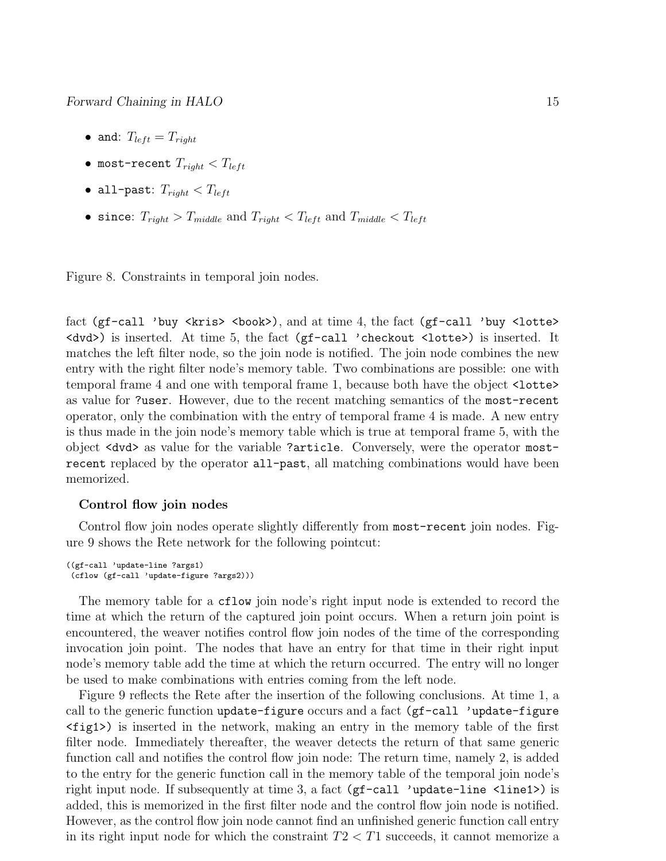- and:  $T_{left} = T_{right}$
- most-recent  $T_{right} < T_{left}$
- all-past:  $T_{right} < T_{left}$
- since:  $T_{right} > T_{middle}$  and  $T_{right} < T_{left}$  and  $T_{middle} < T_{left}$

Figure 8. Constraints in temporal join nodes.

fact (gf-call 'buy <kris> <br/>>book>), and at time 4, the fact (gf-call 'buy <lotte> <dvd>) is inserted. At time 5, the fact (gf-call 'checkout <lotte>) is inserted. It matches the left filter node, so the join node is notified. The join node combines the new entry with the right filter node's memory table. Two combinations are possible: one with temporal frame 4 and one with temporal frame 1, because both have the object  $\leq$ lotte> as value for ?user. However, due to the recent matching semantics of the most-recent operator, only the combination with the entry of temporal frame 4 is made. A new entry is thus made in the join node's memory table which is true at temporal frame 5, with the object <dvd> as value for the variable ?article. Conversely, were the operator mostrecent replaced by the operator all-past, all matching combinations would have been memorized.

### Control flow join nodes

Control flow join nodes operate slightly differently from most-recent join nodes. Figure 9 shows the Rete network for the following pointcut:

```
((gf-call 'update-line ?args1)
 (cflow (gf-call 'update-figure ?args2)))
```
The memory table for a cflow join node's right input node is extended to record the time at which the return of the captured join point occurs. When a return join point is encountered, the weaver notifies control flow join nodes of the time of the corresponding invocation join point. The nodes that have an entry for that time in their right input node's memory table add the time at which the return occurred. The entry will no longer be used to make combinations with entries coming from the left node.

Figure 9 reflects the Rete after the insertion of the following conclusions. At time 1, a call to the generic function update-figure occurs and a fact (gf-call 'update-figure <fig1>) is inserted in the network, making an entry in the memory table of the first filter node. Immediately thereafter, the weaver detects the return of that same generic function call and notifies the control flow join node: The return time, namely 2, is added to the entry for the generic function call in the memory table of the temporal join node's right input node. If subsequently at time 3, a fact  $(gf-\text{call 'update-line <1ine1>})$  is added, this is memorized in the first filter node and the control flow join node is notified. However, as the control flow join node cannot find an unfinished generic function call entry in its right input node for which the constraint  $T2 < T1$  succeeds, it cannot memorize a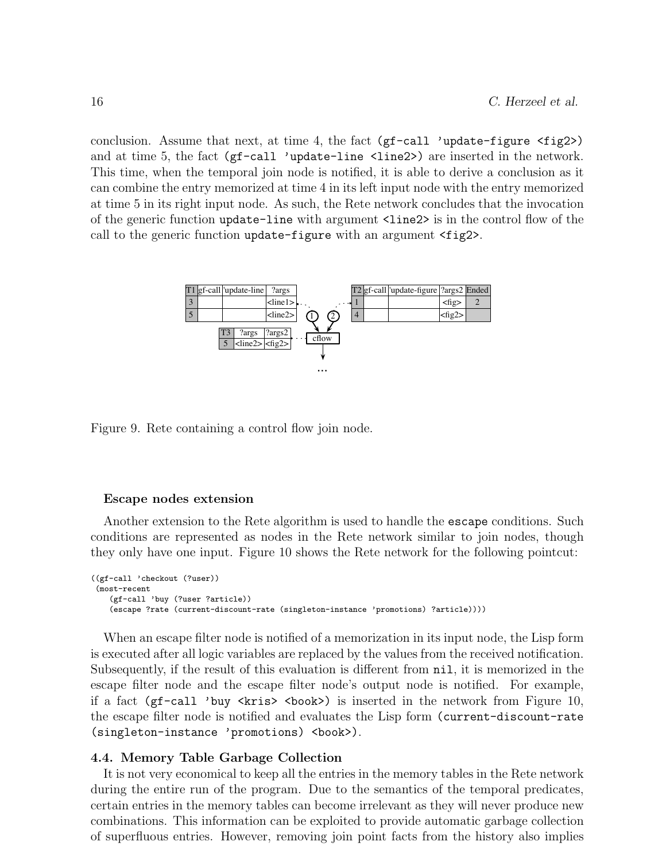conclusion. Assume that next, at time 4, the fact  $(gf - call' update - figure < fig2)$ and at time 5, the fact  $(gf-\text{call 'update-line <1ine2>})$  are inserted in the network. This time, when the temporal join node is notified, it is able to derive a conclusion as it can combine the entry memorized at time 4 in its left input node with the entry memorized at time 5 in its right input node. As such, the Rete network concludes that the invocation of the generic function update-line with argument <line2> is in the control flow of the call to the generic function update-figure with an argument <fig2>.



Figure 9. Rete containing a control flow join node.

### Escape nodes extension

Another extension to the Rete algorithm is used to handle the escape conditions. Such conditions are represented as nodes in the Rete network similar to join nodes, though they only have one input. Figure 10 shows the Rete network for the following pointcut:

```
((gf-call 'checkout (?user))
 (most-recent
    (gf-call 'buy (?user ?article))
   (escape ?rate (current-discount-rate (singleton-instance 'promotions) ?article))))
```
When an escape filter node is notified of a memorization in its input node, the Lisp form is executed after all logic variables are replaced by the values from the received notification. Subsequently, if the result of this evaluation is different from nil, it is memorized in the escape filter node and the escape filter node's output node is notified. For example, if a fact (gf-call 'buy  $\langle$ kris>  $\langle$ book>) is inserted in the network from Figure 10, the escape filter node is notified and evaluates the Lisp form (current-discount-rate (singleton-instance 'promotions) <br/>book>).

### 4.4. Memory Table Garbage Collection

It is not very economical to keep all the entries in the memory tables in the Rete network during the entire run of the program. Due to the semantics of the temporal predicates, certain entries in the memory tables can become irrelevant as they will never produce new combinations. This information can be exploited to provide automatic garbage collection of superfluous entries. However, removing join point facts from the history also implies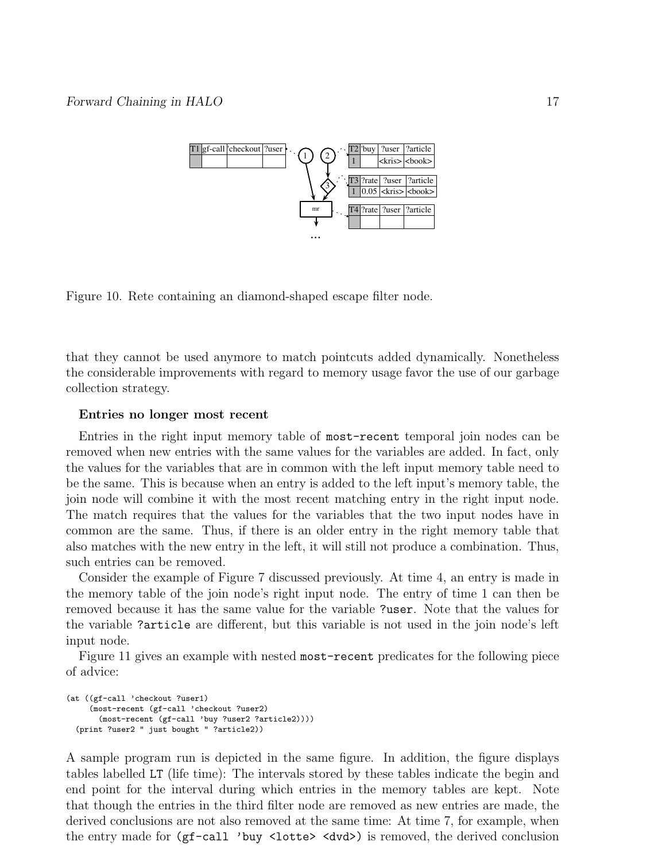

Figure 10. Rete containing an diamond-shaped escape filter node.

that they cannot be used anymore to match pointcuts added dynamically. Nonetheless the considerable improvements with regard to memory usage favor the use of our garbage collection strategy.

# Entries no longer most recent

Entries in the right input memory table of most-recent temporal join nodes can be removed when new entries with the same values for the variables are added. In fact, only the values for the variables that are in common with the left input memory table need to be the same. This is because when an entry is added to the left input's memory table, the join node will combine it with the most recent matching entry in the right input node. The match requires that the values for the variables that the two input nodes have in common are the same. Thus, if there is an older entry in the right memory table that also matches with the new entry in the left, it will still not produce a combination. Thus, such entries can be removed.

Consider the example of Figure 7 discussed previously. At time 4, an entry is made in the memory table of the join node's right input node. The entry of time 1 can then be removed because it has the same value for the variable ?user. Note that the values for the variable ?article are different, but this variable is not used in the join node's left input node.

Figure 11 gives an example with nested most-recent predicates for the following piece of advice:

```
(at ((gf-call 'checkout ?user1)
     (most-recent (gf-call 'checkout ?user2)
       (most-recent (gf-call 'buy ?user2 ?article2))))
 (print ?user2 " just bought " ?article2))
```
A sample program run is depicted in the same figure. In addition, the figure displays tables labelled LT (life time): The intervals stored by these tables indicate the begin and end point for the interval during which entries in the memory tables are kept. Note that though the entries in the third filter node are removed as new entries are made, the derived conclusions are not also removed at the same time: At time 7, for example, when the entry made for (gf-call 'buy <lotte> <dvd>) is removed, the derived conclusion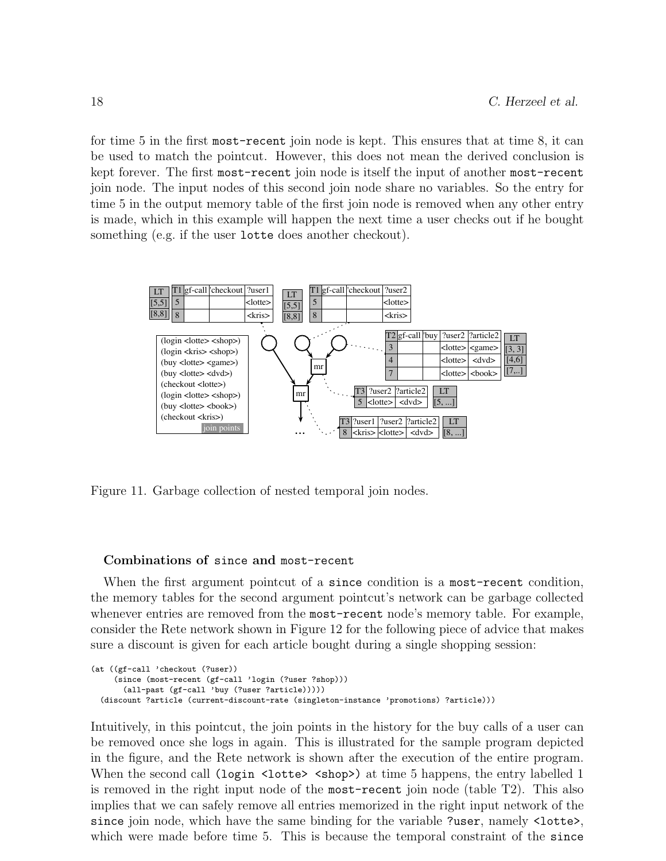for time 5 in the first most-recent join node is kept. This ensures that at time 8, it can be used to match the pointcut. However, this does not mean the derived conclusion is kept forever. The first most-recent join node is itself the input of another most-recent join node. The input nodes of this second join node share no variables. So the entry for time 5 in the output memory table of the first join node is removed when any other entry is made, which in this example will happen the next time a user checks out if he bought something (e.g. if the user lotte does another checkout).



Figure 11. Garbage collection of nested temporal join nodes.

### Combinations of since and most-recent

When the first argument pointcut of a since condition is a most-recent condition, the memory tables for the second argument pointcut's network can be garbage collected whenever entries are removed from the most-recent node's memory table. For example, consider the Rete network shown in Figure 12 for the following piece of advice that makes sure a discount is given for each article bought during a single shopping session:

```
(at ((gf-call 'checkout (?user))
     (since (most-recent (gf-call 'login (?user ?shop)))
      (all-past (gf-call 'buy (?user ?article)))))
  (discount ?article (current-discount-rate (singleton-instance 'promotions) ?article)))
```
Intuitively, in this pointcut, the join points in the history for the buy calls of a user can be removed once she logs in again. This is illustrated for the sample program depicted in the figure, and the Rete network is shown after the execution of the entire program. When the second call (login <lotte> <shop>) at time 5 happens, the entry labelled 1 is removed in the right input node of the most-recent join node (table T2). This also implies that we can safely remove all entries memorized in the right input network of the since join node, which have the same binding for the variable ?user, namely <lotte>, which were made before time 5. This is because the temporal constraint of the since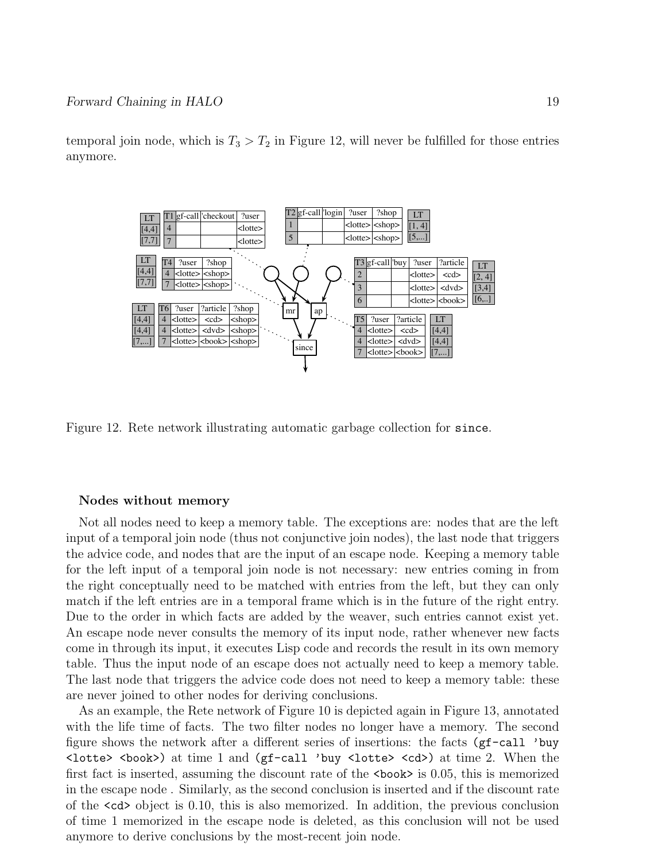temporal join node, which is  $T_3 > T_2$  in Figure 12, will never be fulfilled for those entries anymore.



Figure 12. Rete network illustrating automatic garbage collection for since.

### Nodes without memory

Not all nodes need to keep a memory table. The exceptions are: nodes that are the left input of a temporal join node (thus not conjunctive join nodes), the last node that triggers the advice code, and nodes that are the input of an escape node. Keeping a memory table for the left input of a temporal join node is not necessary: new entries coming in from the right conceptually need to be matched with entries from the left, but they can only match if the left entries are in a temporal frame which is in the future of the right entry. Due to the order in which facts are added by the weaver, such entries cannot exist yet. An escape node never consults the memory of its input node, rather whenever new facts come in through its input, it executes Lisp code and records the result in its own memory table. Thus the input node of an escape does not actually need to keep a memory table. The last node that triggers the advice code does not need to keep a memory table: these are never joined to other nodes for deriving conclusions.

As an example, the Rete network of Figure 10 is depicted again in Figure 13, annotated with the life time of facts. The two filter nodes no longer have a memory. The second figure shows the network after a different series of insertions: the facts (gf-call 'buy  $\langle$ lotte>  $\langle$ book>) at time 1 and (gf-call 'buy  $\langle$ lotte>  $\langle$ cd>) at time 2. When the first fact is inserted, assuming the discount rate of the <book> is 0.05, this is memorized in the escape node . Similarly, as the second conclusion is inserted and if the discount rate of the <cd> object is 0.10, this is also memorized. In addition, the previous conclusion of time 1 memorized in the escape node is deleted, as this conclusion will not be used anymore to derive conclusions by the most-recent join node.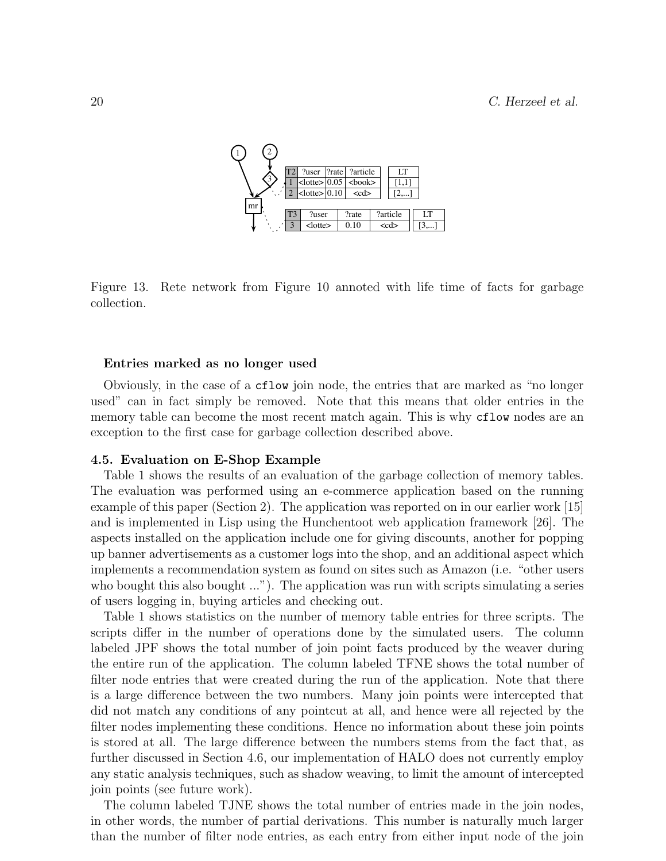

Figure 13. Rete network from Figure 10 annoted with life time of facts for garbage collection.

### Entries marked as no longer used

Obviously, in the case of a cflow join node, the entries that are marked as "no longer used" can in fact simply be removed. Note that this means that older entries in the memory table can become the most recent match again. This is why **cflow** nodes are an exception to the first case for garbage collection described above.

### 4.5. Evaluation on E-Shop Example

Table 1 shows the results of an evaluation of the garbage collection of memory tables. The evaluation was performed using an e-commerce application based on the running example of this paper (Section 2). The application was reported on in our earlier work [15] and is implemented in Lisp using the Hunchentoot web application framework [26]. The aspects installed on the application include one for giving discounts, another for popping up banner advertisements as a customer logs into the shop, and an additional aspect which implements a recommendation system as found on sites such as Amazon (i.e. "other users who bought this also bought ..."). The application was run with scripts simulating a series of users logging in, buying articles and checking out.

Table 1 shows statistics on the number of memory table entries for three scripts. The scripts differ in the number of operations done by the simulated users. The column labeled JPF shows the total number of join point facts produced by the weaver during the entire run of the application. The column labeled TFNE shows the total number of filter node entries that were created during the run of the application. Note that there is a large difference between the two numbers. Many join points were intercepted that did not match any conditions of any pointcut at all, and hence were all rejected by the filter nodes implementing these conditions. Hence no information about these join points is stored at all. The large difference between the numbers stems from the fact that, as further discussed in Section 4.6, our implementation of HALO does not currently employ any static analysis techniques, such as shadow weaving, to limit the amount of intercepted join points (see future work).

The column labeled TJNE shows the total number of entries made in the join nodes, in other words, the number of partial derivations. This number is naturally much larger than the number of filter node entries, as each entry from either input node of the join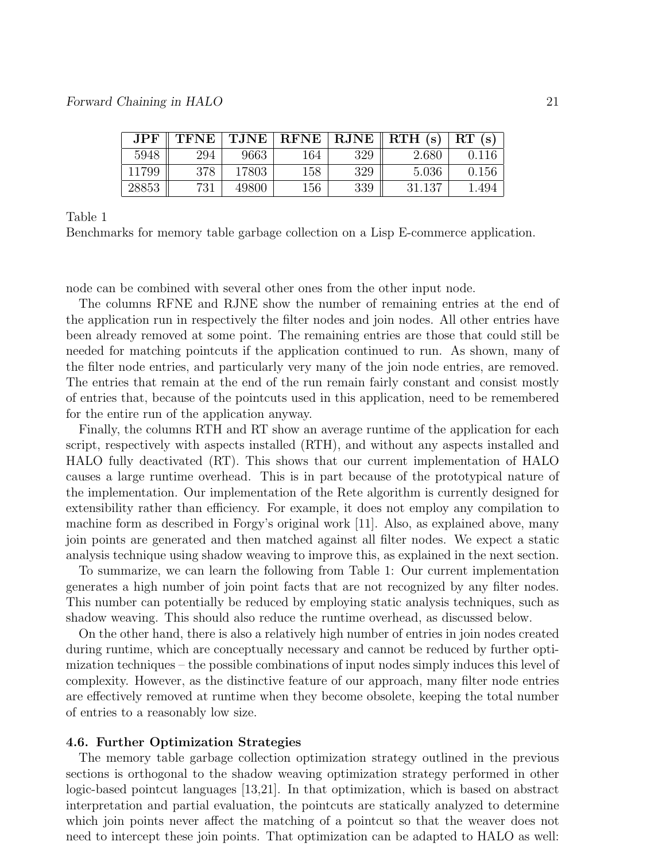| JPF   | <b>TFNE</b> | TJNE  | <b>RFNE</b> | RJNE | RTH(s) | RT(s) |
|-------|-------------|-------|-------------|------|--------|-------|
| 5948  | 294         | 9663  | 164         | 329  | 2.680  |       |
| 11799 | 378         | 17803 | 158         | 329  | 5.036  | 0.156 |
| 28853 | 731         | 49800 | 156         | 339  | 31.137 | 1.494 |

# Table 1

Benchmarks for memory table garbage collection on a Lisp E-commerce application.

node can be combined with several other ones from the other input node.

The columns RFNE and RJNE show the number of remaining entries at the end of the application run in respectively the filter nodes and join nodes. All other entries have been already removed at some point. The remaining entries are those that could still be needed for matching pointcuts if the application continued to run. As shown, many of the filter node entries, and particularly very many of the join node entries, are removed. The entries that remain at the end of the run remain fairly constant and consist mostly of entries that, because of the pointcuts used in this application, need to be remembered for the entire run of the application anyway.

Finally, the columns RTH and RT show an average runtime of the application for each script, respectively with aspects installed (RTH), and without any aspects installed and HALO fully deactivated (RT). This shows that our current implementation of HALO causes a large runtime overhead. This is in part because of the prototypical nature of the implementation. Our implementation of the Rete algorithm is currently designed for extensibility rather than efficiency. For example, it does not employ any compilation to machine form as described in Forgy's original work [11]. Also, as explained above, many join points are generated and then matched against all filter nodes. We expect a static analysis technique using shadow weaving to improve this, as explained in the next section.

To summarize, we can learn the following from Table 1: Our current implementation generates a high number of join point facts that are not recognized by any filter nodes. This number can potentially be reduced by employing static analysis techniques, such as shadow weaving. This should also reduce the runtime overhead, as discussed below.

On the other hand, there is also a relatively high number of entries in join nodes created during runtime, which are conceptually necessary and cannot be reduced by further optimization techniques – the possible combinations of input nodes simply induces this level of complexity. However, as the distinctive feature of our approach, many filter node entries are effectively removed at runtime when they become obsolete, keeping the total number of entries to a reasonably low size.

### 4.6. Further Optimization Strategies

The memory table garbage collection optimization strategy outlined in the previous sections is orthogonal to the shadow weaving optimization strategy performed in other logic-based pointcut languages [13,21]. In that optimization, which is based on abstract interpretation and partial evaluation, the pointcuts are statically analyzed to determine which join points never affect the matching of a pointcut so that the weaver does not need to intercept these join points. That optimization can be adapted to HALO as well: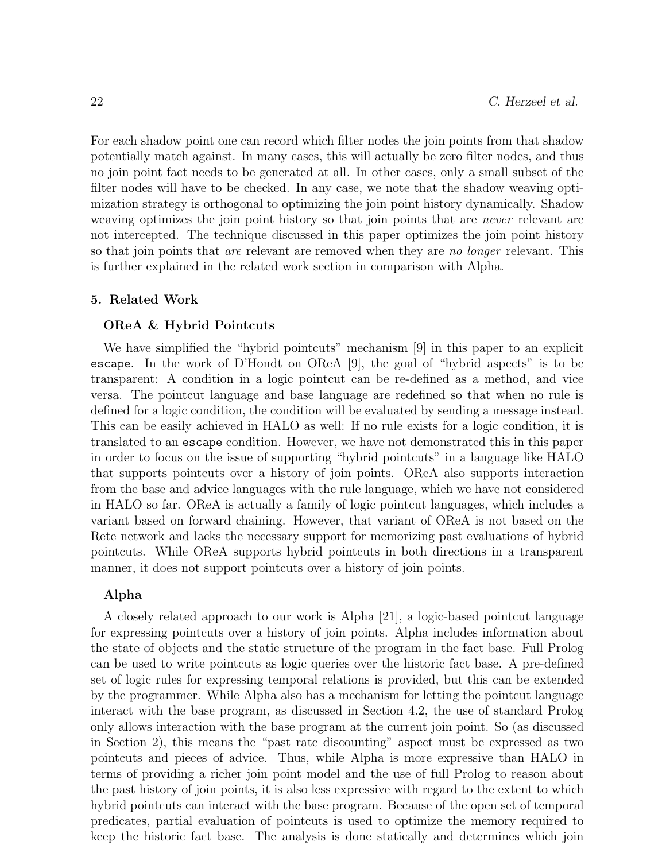For each shadow point one can record which filter nodes the join points from that shadow potentially match against. In many cases, this will actually be zero filter nodes, and thus no join point fact needs to be generated at all. In other cases, only a small subset of the filter nodes will have to be checked. In any case, we note that the shadow weaving optimization strategy is orthogonal to optimizing the join point history dynamically. Shadow weaving optimizes the join point history so that join points that are *never* relevant are not intercepted. The technique discussed in this paper optimizes the join point history so that join points that *are* relevant are removed when they are *no longer* relevant. This is further explained in the related work section in comparison with Alpha.

### 5. Related Work

### OReA & Hybrid Pointcuts

We have simplified the "hybrid pointcuts" mechanism [9] in this paper to an explicit escape. In the work of D'Hondt on OReA [9], the goal of "hybrid aspects" is to be transparent: A condition in a logic pointcut can be re-defined as a method, and vice versa. The pointcut language and base language are redefined so that when no rule is defined for a logic condition, the condition will be evaluated by sending a message instead. This can be easily achieved in HALO as well: If no rule exists for a logic condition, it is translated to an escape condition. However, we have not demonstrated this in this paper in order to focus on the issue of supporting "hybrid pointcuts" in a language like HALO that supports pointcuts over a history of join points. OReA also supports interaction from the base and advice languages with the rule language, which we have not considered in HALO so far. OReA is actually a family of logic pointcut languages, which includes a variant based on forward chaining. However, that variant of OReA is not based on the Rete network and lacks the necessary support for memorizing past evaluations of hybrid pointcuts. While OReA supports hybrid pointcuts in both directions in a transparent manner, it does not support pointcuts over a history of join points.

### Alpha

A closely related approach to our work is Alpha [21], a logic-based pointcut language for expressing pointcuts over a history of join points. Alpha includes information about the state of objects and the static structure of the program in the fact base. Full Prolog can be used to write pointcuts as logic queries over the historic fact base. A pre-defined set of logic rules for expressing temporal relations is provided, but this can be extended by the programmer. While Alpha also has a mechanism for letting the pointcut language interact with the base program, as discussed in Section 4.2, the use of standard Prolog only allows interaction with the base program at the current join point. So (as discussed in Section 2), this means the "past rate discounting" aspect must be expressed as two pointcuts and pieces of advice. Thus, while Alpha is more expressive than HALO in terms of providing a richer join point model and the use of full Prolog to reason about the past history of join points, it is also less expressive with regard to the extent to which hybrid pointcuts can interact with the base program. Because of the open set of temporal predicates, partial evaluation of pointcuts is used to optimize the memory required to keep the historic fact base. The analysis is done statically and determines which join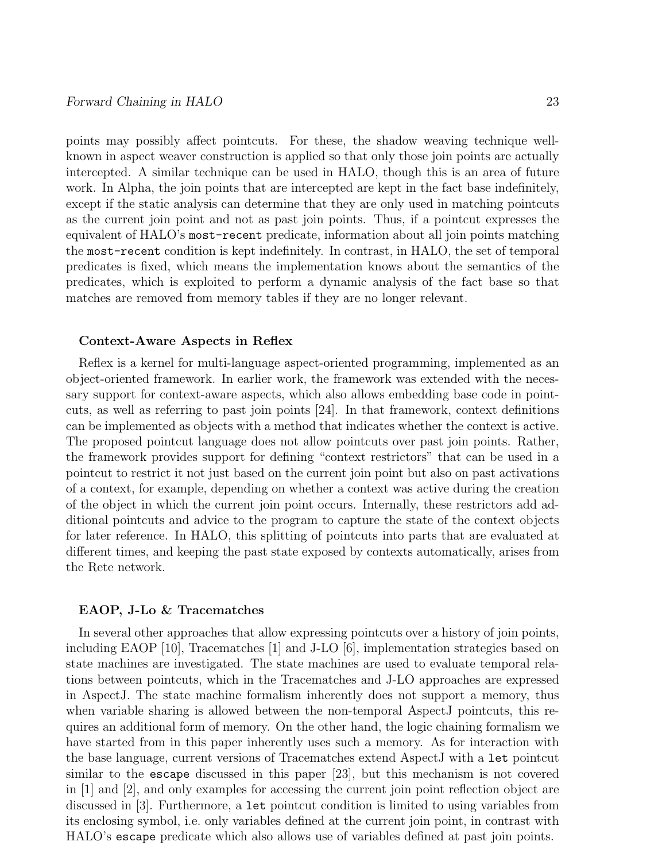points may possibly affect pointcuts. For these, the shadow weaving technique wellknown in aspect weaver construction is applied so that only those join points are actually intercepted. A similar technique can be used in HALO, though this is an area of future work. In Alpha, the join points that are intercepted are kept in the fact base indefinitely, except if the static analysis can determine that they are only used in matching pointcuts as the current join point and not as past join points. Thus, if a pointcut expresses the equivalent of HALO's most-recent predicate, information about all join points matching the most-recent condition is kept indefinitely. In contrast, in HALO, the set of temporal predicates is fixed, which means the implementation knows about the semantics of the predicates, which is exploited to perform a dynamic analysis of the fact base so that matches are removed from memory tables if they are no longer relevant.

### Context-Aware Aspects in Reflex

Reflex is a kernel for multi-language aspect-oriented programming, implemented as an object-oriented framework. In earlier work, the framework was extended with the necessary support for context-aware aspects, which also allows embedding base code in pointcuts, as well as referring to past join points [24]. In that framework, context definitions can be implemented as objects with a method that indicates whether the context is active. The proposed pointcut language does not allow pointcuts over past join points. Rather, the framework provides support for defining "context restrictors" that can be used in a pointcut to restrict it not just based on the current join point but also on past activations of a context, for example, depending on whether a context was active during the creation of the object in which the current join point occurs. Internally, these restrictors add additional pointcuts and advice to the program to capture the state of the context objects for later reference. In HALO, this splitting of pointcuts into parts that are evaluated at different times, and keeping the past state exposed by contexts automatically, arises from the Rete network.

### EAOP, J-Lo & Tracematches

In several other approaches that allow expressing pointcuts over a history of join points, including EAOP  $[10]$ , Tracematches  $[1]$  and J-LO  $[6]$ , implementation strategies based on state machines are investigated. The state machines are used to evaluate temporal relations between pointcuts, which in the Tracematches and J-LO approaches are expressed in AspectJ. The state machine formalism inherently does not support a memory, thus when variable sharing is allowed between the non-temporal AspectJ pointcuts, this requires an additional form of memory. On the other hand, the logic chaining formalism we have started from in this paper inherently uses such a memory. As for interaction with the base language, current versions of Tracematches extend AspectJ with a let pointcut similar to the escape discussed in this paper [23], but this mechanism is not covered in [1] and [2], and only examples for accessing the current join point reflection object are discussed in [3]. Furthermore, a let pointcut condition is limited to using variables from its enclosing symbol, i.e. only variables defined at the current join point, in contrast with HALO's escape predicate which also allows use of variables defined at past join points.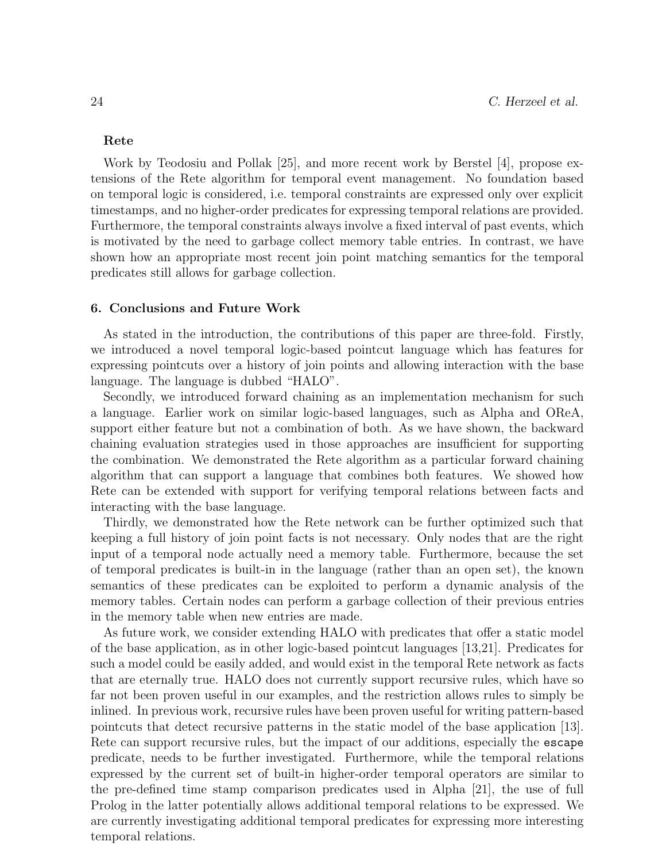# Rete

Work by Teodosiu and Pollak [25], and more recent work by Berstel [4], propose extensions of the Rete algorithm for temporal event management. No foundation based on temporal logic is considered, i.e. temporal constraints are expressed only over explicit timestamps, and no higher-order predicates for expressing temporal relations are provided. Furthermore, the temporal constraints always involve a fixed interval of past events, which is motivated by the need to garbage collect memory table entries. In contrast, we have shown how an appropriate most recent join point matching semantics for the temporal predicates still allows for garbage collection.

### 6. Conclusions and Future Work

As stated in the introduction, the contributions of this paper are three-fold. Firstly, we introduced a novel temporal logic-based pointcut language which has features for expressing pointcuts over a history of join points and allowing interaction with the base language. The language is dubbed "HALO".

Secondly, we introduced forward chaining as an implementation mechanism for such a language. Earlier work on similar logic-based languages, such as Alpha and OReA, support either feature but not a combination of both. As we have shown, the backward chaining evaluation strategies used in those approaches are insufficient for supporting the combination. We demonstrated the Rete algorithm as a particular forward chaining algorithm that can support a language that combines both features. We showed how Rete can be extended with support for verifying temporal relations between facts and interacting with the base language.

Thirdly, we demonstrated how the Rete network can be further optimized such that keeping a full history of join point facts is not necessary. Only nodes that are the right input of a temporal node actually need a memory table. Furthermore, because the set of temporal predicates is built-in in the language (rather than an open set), the known semantics of these predicates can be exploited to perform a dynamic analysis of the memory tables. Certain nodes can perform a garbage collection of their previous entries in the memory table when new entries are made.

As future work, we consider extending HALO with predicates that offer a static model of the base application, as in other logic-based pointcut languages [13,21]. Predicates for such a model could be easily added, and would exist in the temporal Rete network as facts that are eternally true. HALO does not currently support recursive rules, which have so far not been proven useful in our examples, and the restriction allows rules to simply be inlined. In previous work, recursive rules have been proven useful for writing pattern-based pointcuts that detect recursive patterns in the static model of the base application [13]. Rete can support recursive rules, but the impact of our additions, especially the escape predicate, needs to be further investigated. Furthermore, while the temporal relations expressed by the current set of built-in higher-order temporal operators are similar to the pre-defined time stamp comparison predicates used in Alpha [21], the use of full Prolog in the latter potentially allows additional temporal relations to be expressed. We are currently investigating additional temporal predicates for expressing more interesting temporal relations.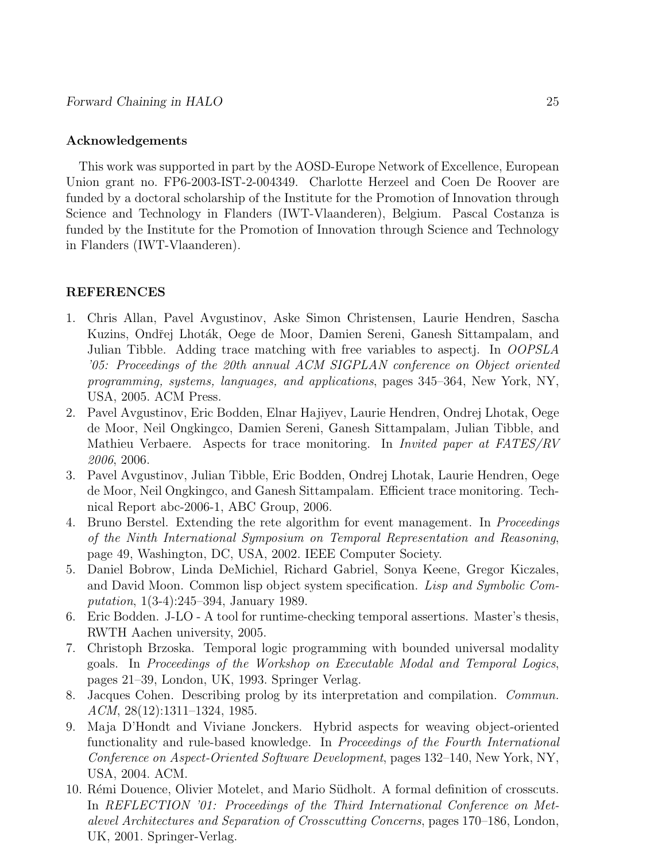# Acknowledgements

This work was supported in part by the AOSD-Europe Network of Excellence, European Union grant no. FP6-2003-IST-2-004349. Charlotte Herzeel and Coen De Roover are funded by a doctoral scholarship of the Institute for the Promotion of Innovation through Science and Technology in Flanders (IWT-Vlaanderen), Belgium. Pascal Costanza is funded by the Institute for the Promotion of Innovation through Science and Technology in Flanders (IWT-Vlaanderen).

# REFERENCES

- 1. Chris Allan, Pavel Avgustinov, Aske Simon Christensen, Laurie Hendren, Sascha Kuzins, Ondřej Lhoták, Oege de Moor, Damien Sereni, Ganesh Sittampalam, and Julian Tibble. Adding trace matching with free variables to aspectj. In OOPSLA '05: Proceedings of the 20th annual ACM SIGPLAN conference on Object oriented programming, systems, languages, and applications, pages 345–364, New York, NY, USA, 2005. ACM Press.
- 2. Pavel Avgustinov, Eric Bodden, Elnar Hajiyev, Laurie Hendren, Ondrej Lhotak, Oege de Moor, Neil Ongkingco, Damien Sereni, Ganesh Sittampalam, Julian Tibble, and Mathieu Verbaere. Aspects for trace monitoring. In Invited paper at FATES/RV 2006, 2006.
- 3. Pavel Avgustinov, Julian Tibble, Eric Bodden, Ondrej Lhotak, Laurie Hendren, Oege de Moor, Neil Ongkingco, and Ganesh Sittampalam. Efficient trace monitoring. Technical Report abc-2006-1, ABC Group, 2006.
- 4. Bruno Berstel. Extending the rete algorithm for event management. In Proceedings of the Ninth International Symposium on Temporal Representation and Reasoning, page 49, Washington, DC, USA, 2002. IEEE Computer Society.
- 5. Daniel Bobrow, Linda DeMichiel, Richard Gabriel, Sonya Keene, Gregor Kiczales, and David Moon. Common lisp object system specification. Lisp and Symbolic Computation, 1(3-4):245–394, January 1989.
- 6. Eric Bodden. J-LO A tool for runtime-checking temporal assertions. Master's thesis, RWTH Aachen university, 2005.
- 7. Christoph Brzoska. Temporal logic programming with bounded universal modality goals. In Proceedings of the Workshop on Executable Modal and Temporal Logics, pages 21–39, London, UK, 1993. Springer Verlag.
- 8. Jacques Cohen. Describing prolog by its interpretation and compilation. Commun. ACM, 28(12):1311–1324, 1985.
- 9. Maja D'Hondt and Viviane Jonckers. Hybrid aspects for weaving object-oriented functionality and rule-based knowledge. In Proceedings of the Fourth International Conference on Aspect-Oriented Software Development, pages 132–140, New York, NY, USA, 2004. ACM.
- 10. Rémi Douence, Olivier Motelet, and Mario Südholt. A formal definition of crosscuts. In REFLECTION '01: Proceedings of the Third International Conference on Metalevel Architectures and Separation of Crosscutting Concerns, pages 170–186, London, UK, 2001. Springer-Verlag.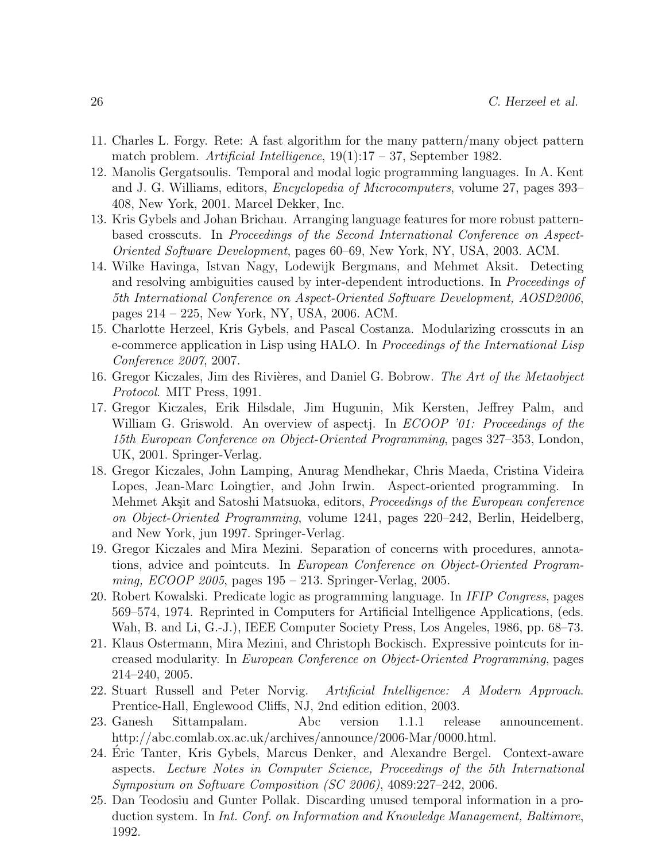- 11. Charles L. Forgy. Rete: A fast algorithm for the many pattern/many object pattern match problem. Artificial Intelligence,  $19(1)$ :17 – 37, September 1982.
- 12. Manolis Gergatsoulis. Temporal and modal logic programming languages. In A. Kent and J. G. Williams, editors, Encyclopedia of Microcomputers, volume 27, pages 393– 408, New York, 2001. Marcel Dekker, Inc.
- 13. Kris Gybels and Johan Brichau. Arranging language features for more robust patternbased crosscuts. In Proceedings of the Second International Conference on Aspect-Oriented Software Development, pages 60–69, New York, NY, USA, 2003. ACM.
- 14. Wilke Havinga, Istvan Nagy, Lodewijk Bergmans, and Mehmet Aksit. Detecting and resolving ambiguities caused by inter-dependent introductions. In Proceedings of 5th International Conference on Aspect-Oriented Software Development, AOSD2006, pages 214 – 225, New York, NY, USA, 2006. ACM.
- 15. Charlotte Herzeel, Kris Gybels, and Pascal Costanza. Modularizing crosscuts in an e-commerce application in Lisp using HALO. In Proceedings of the International Lisp Conference 2007, 2007.
- 16. Gregor Kiczales, Jim des Rivières, and Daniel G. Bobrow. The Art of the Metaobject Protocol. MIT Press, 1991.
- 17. Gregor Kiczales, Erik Hilsdale, Jim Hugunin, Mik Kersten, Jeffrey Palm, and William G. Griswold. An overview of aspectj. In *ECOOP '01: Proceedings of the* 15th European Conference on Object-Oriented Programming, pages 327–353, London, UK, 2001. Springer-Verlag.
- 18. Gregor Kiczales, John Lamping, Anurag Mendhekar, Chris Maeda, Cristina Videira Lopes, Jean-Marc Loingtier, and John Irwin. Aspect-oriented programming. In Mehmet Aksit and Satoshi Matsuoka, editors, *Proceedings of the European conference* on Object-Oriented Programming, volume 1241, pages 220–242, Berlin, Heidelberg, and New York, jun 1997. Springer-Verlag.
- 19. Gregor Kiczales and Mira Mezini. Separation of concerns with procedures, annotations, advice and pointcuts. In European Conference on Object-Oriented Programming, ECOOP 2005, pages 195 – 213. Springer-Verlag, 2005.
- 20. Robert Kowalski. Predicate logic as programming language. In IFIP Congress, pages 569–574, 1974. Reprinted in Computers for Artificial Intelligence Applications, (eds. Wah, B. and Li, G.-J.), IEEE Computer Society Press, Los Angeles, 1986, pp. 68–73.
- 21. Klaus Ostermann, Mira Mezini, and Christoph Bockisch. Expressive pointcuts for increased modularity. In European Conference on Object-Oriented Programming, pages 214–240, 2005.
- 22. Stuart Russell and Peter Norvig. Artificial Intelligence: A Modern Approach. Prentice-Hall, Englewood Cliffs, NJ, 2nd edition edition, 2003.
- 23. Ganesh Sittampalam. Abc version 1.1.1 release announcement. http://abc.comlab.ox.ac.uk/archives/announce/2006-Mar/0000.html.
- 24. Eric Tanter, Kris Gybels, Marcus Denker, and Alexandre Bergel. Context-aware ´ aspects. Lecture Notes in Computer Science, Proceedings of the 5th International Symposium on Software Composition (SC 2006), 4089:227–242, 2006.
- 25. Dan Teodosiu and Gunter Pollak. Discarding unused temporal information in a production system. In Int. Conf. on Information and Knowledge Management, Baltimore, 1992.